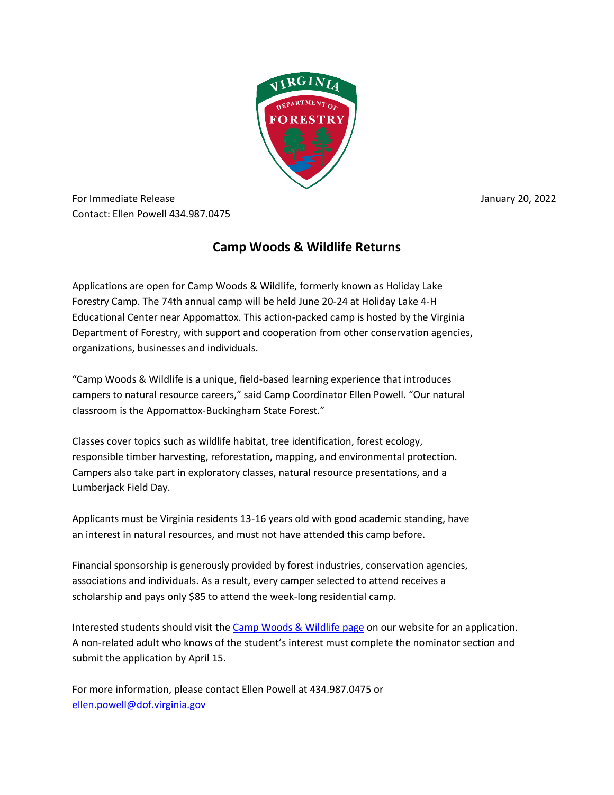

For Immediate Release January 20, 2022 Contact: Ellen Powell 434.987.0475

## **Camp Woods & Wildlife Returns**

Applications are open for Camp Woods & Wildlife, formerly known as Holiday Lake Forestry Camp. The 74th annual camp will be held June 20-24 at Holiday Lake 4-H Educational Center near Appomattox. This action-packed camp is hosted by the Virginia Department of Forestry, with support and cooperation from other conservation agencies, organizations, businesses and individuals.

"Camp Woods & Wildlife is a unique, field-based learning experience that introduces campers to natural resource careers," said Camp Coordinator Ellen Powell. "Our natural classroom is the Appomattox-Buckingham State Forest."

Classes cover topics such as wildlife habitat, tree identification, forest ecology, responsible timber harvesting, reforestation, mapping, and environmental protection. Campers also take part in exploratory classes, natural resource presentations, and a Lumberjack Field Day.

Applicants must be Virginia residents 13-16 years old with good academic standing, have an interest in natural resources, and must not have attended this camp before.

Financial sponsorship is generously provided by forest industries, conservation agencies, associations and individuals. As a result, every camper selected to attend receives a scholarship and pays only \$85 to attend the week-long residential camp.

Interested students should visit the [Camp Woods & Wildlife page](https://dof.virginia.gov/education-and-recreation/youth-education/camp-woods-wildlife/) on our website for an application. A non-related adult who knows of the student's interest must complete the nominator section and submit the application by April 15.

For more information, please contact Ellen Powell at 434.987.0475 or [ellen.powell@dof.virginia.gov](mailto:ellen.powell@dof.virginia.gov)